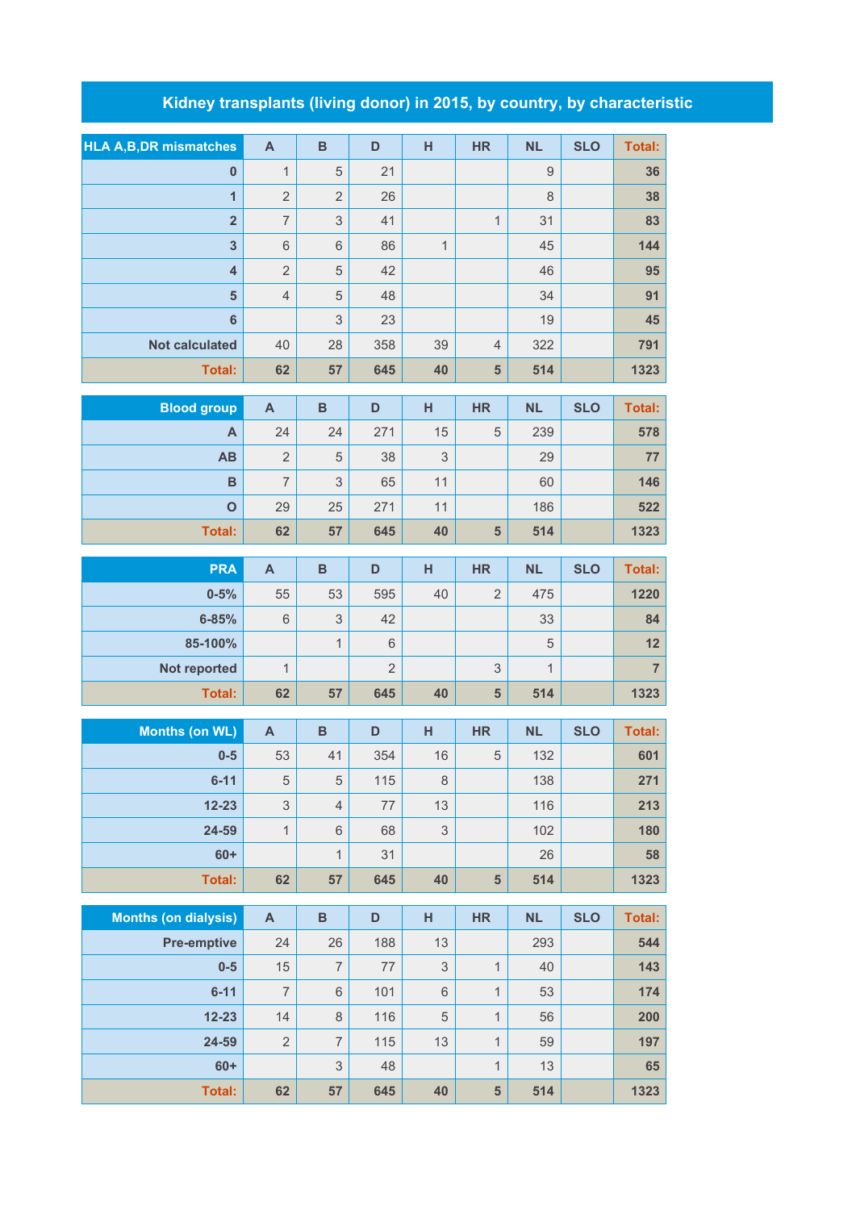## **Kidney transplants (living donor) in 2015, by country, by characteristic**

| <b>HLA A,B,DR mismatches</b> | $\mathsf{A}$              | $\, {\bf B}$              | D              | H            | <b>HR</b>      | <b>NL</b>    | <b>SLO</b> | <b>Total:</b>  |
|------------------------------|---------------------------|---------------------------|----------------|--------------|----------------|--------------|------------|----------------|
| $\bf{0}$                     | $\mathbf 1$               | $\overline{5}$            | 21             |              |                | $\mathsf 9$  |            | 36             |
| $\overline{1}$               | $\overline{2}$            | $\overline{2}$            | 26             |              |                | 8            |            | 38             |
| $\overline{2}$               | $\overline{\mathcal{I}}$  | $\mathsf 3$               | 41             |              | $\mathbf{1}$   | 31           |            | 83             |
| $\overline{\mathbf{3}}$      | $\,6$                     | 6                         | 86             | $\mathbf{1}$ |                | 45           |            | 144            |
| $\overline{\mathbf{4}}$      | $\overline{2}$            | 5                         | 42             |              |                | 46           |            | 95             |
| $5\phantom{1}$               | $\sqrt{4}$                | 5                         | 48             |              |                | 34           |            | 91             |
| $6\phantom{1}$               |                           | $\ensuremath{\mathsf{3}}$ | 23             |              |                | 19           |            | 45             |
| <b>Not calculated</b>        | 40                        | 28                        | 358            | 39           | $\overline{4}$ | 322          |            | 791            |
| <b>Total:</b>                | 62                        | 57                        | 645            | 40           | 5              | 514          |            | 1323           |
| <b>Blood group</b>           | $\boldsymbol{\mathsf{A}}$ | $\overline{B}$            | D              | H            | <b>HR</b>      | <b>NL</b>    | <b>SLO</b> | <b>Total:</b>  |
| A                            | 24                        | 24                        | 271            | 15           | 5              | 239          |            | 578            |
| AB                           | $\overline{2}$            | 5                         | 38             | 3            |                | 29           |            | 77             |
| B                            | $\overline{7}$            | 3                         | 65             | 11           |                | 60           |            | 146            |
| $\mathbf{o}$                 | 29                        | 25                        | 271            | 11           |                | 186          |            | 522            |
| Total:                       | 62                        | 57                        | 645            | 40           | 5              | 514          |            | 1323           |
| <b>PRA</b>                   | $\mathsf{A}$              | $\overline{B}$            | D              | H            | <b>HR</b>      | <b>NL</b>    | <b>SLO</b> | <b>Total:</b>  |
| $0 - 5%$                     | 55                        | 53                        | 595            | 40           | $\overline{2}$ | 475          |            | 1220           |
| $6 - 85%$                    | $6\,$                     | $\mathfrak{S}$            | 42             |              |                | 33           |            | 84             |
| 85-100%                      |                           | $\mathbf{1}$              | $6\,$          |              |                | 5            |            | 12             |
| Not reported                 | $\mathbf{1}$              |                           | $\overline{2}$ |              | 3              | $\mathbf{1}$ |            | $\overline{7}$ |
| <b>Total:</b>                | 62                        | 57                        | 645            | 40           | 5              | 514          |            | 1323           |
| <b>Months (on WL)</b>        | $\mathsf{A}$              | $\overline{B}$            | D              | H            | <b>HR</b>      | <b>NL</b>    | <b>SLO</b> | <b>Total:</b>  |
| $0-5$                        | 53                        | 41                        | 354            | 16           | $\overline{5}$ | 132          |            | 601            |
| $6 - 11$                     | $\sqrt{5}$                | $\sqrt{5}$                | 115            | 8            |                | 138          |            | 271            |
| $12 - 23$                    | 3                         | $\overline{4}$            | 77             | 13           |                | 116          |            | 213            |
| 24-59                        | $\overline{1}$            | 6                         | 68             | 3            |                | 102          |            | 180            |
| $60+$                        |                           | $\mathbf{1}$              | 31             |              |                | 26           |            | 58             |
| Total:                       | 62                        | 57                        | 645            | 40           | $5\phantom{1}$ | 514          |            | 1323           |
| <b>Months (on dialysis)</b>  | $\mathsf{A}$              | $\, {\bf B}$              | D              | H            | <b>HR</b>      | <b>NL</b>    | <b>SLO</b> | <b>Total:</b>  |
| <b>Pre-emptive</b>           | 24                        | 26                        | 188            | 13           |                | 293          |            | 544            |
| $0-5$                        | 15                        | $\overline{7}$            | $77 \,$        | $\mathsf 3$  | $\mathbf{1}$   | 40           |            | 143            |
| $6 - 11$                     | $\overline{7}$            | $\,6\,$                   | 101            | 6            | $\mathbf{1}$   | 53           |            | 174            |
| $12 - 23$                    | 14                        | $\,8\,$                   | 116            | 5            | $\mathbf{1}$   | 56           |            | 200            |
| 24-59                        | $\mathbf{2}$              | $\overline{7}$            | 115            | 13           | $\mathbf{1}$   | 59           |            | 197            |
| $60+$                        |                           | $\mathsf 3$               | 48             |              | $\mathbf{1}$   | 13           |            | 65             |
| Total:                       | 62                        | 57                        | 645            | 40           | 5              | 514          |            | 1323           |